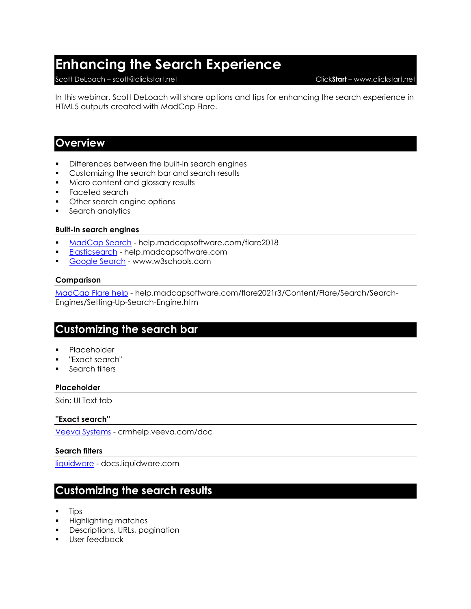# **Enhancing the Search Experience**

### Scott DeLoach – scott@clickstart.net Click**Start** – www.clickstart.net

In this webinar, Scott DeLoach will share options and tips for enhancing the search experience in HTML5 outputs created with MadCap Flare.

# **Overview**

- **•** Differences between the built-in search engines
- **•** Customizing the search bar and search results
- Micro content and glossary results
- Faceted search
- Other search engine options
- Search analytics

### **Built-in search engines**

- [MadCap Search](https://help.madcapsoftware.com/flare2018/Content/Flare/Introduction/Whats-New-Flare.htm) help.madcapsoftware.com/flare2018
- [Elasticsearch](https://help.madcapsoftware.com/flare2021r3/Content/Flare/Introduction/Whats-New/Whats-New.htm) help.madcapsoftware.com
- [Google Search](https://www.w3schools.com/html/default.asp) www.w3schools.com

### **Comparison**

[MadCap Flare help](https://help.madcapsoftware.com/flare2021r3/Content/Flare/Search/Search-Engines/Setting-Up-Search-Engine.htm) - help.madcapsoftware.com/flare2021r3/Content/Flare/Search/Search-Engines/Setting-Up-Search-Engine.htm

# **Customizing the search bar**

- **Placeholder**
- "Exact search"
- Search filters

# **Placeholder**

Skin: UI Text tab

#### **''Exact search''**

[Veeva Systems](https://crmhelp.veeva.com/doc/Content/Results.htm#stq=my schedule&stp=1) - crmhelp.veeva.com/doc

# **Search filters**

[liquidware](https://docs.liquidware.com/profileunity/en-us/search-results-page.htm?q=flexapp) - docs.liquidware.com

# **Customizing the search results**

- **Tips**
- Highlighting matches
- **Descriptions, URLs, pagination**
- User feedback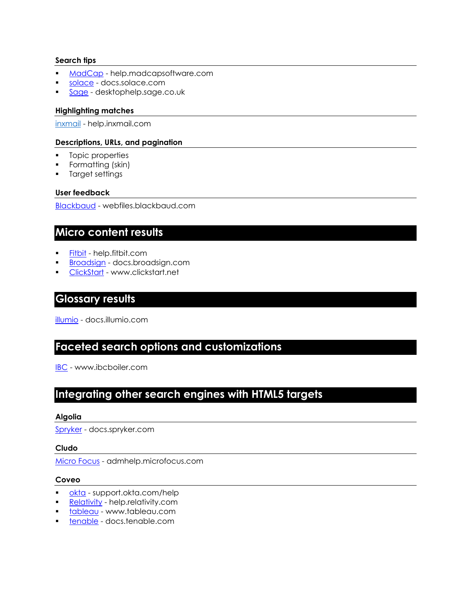# **Search tips**

- MadCap help.madcapsoftware.com
- **·** solace docs.solace.com
- **Exage** desktophelp.sage.co.uk

# **Highlighting matches**

inxmail - help.inxmail.com

# **Descriptions, URLs, and pagination**

- Topic properties
- Formatting (skin)
- Target settings

# **User feedback**

Blackbaud - webfiles.blackbaud.com

# **Micro content results**

- Fitbit help.fitbit.com
- **Broadsign** docs.broadsign.com
- ClickStart www.clickstart.net

# **Glossary results**

illumio - docs.illumio.com

# **Faceted search options and customizations**

IBC - www.ibcboiler.com

# **Integrating other search engines with HTML5 targets**

# **Algolia**

Spryker - docs.spryker.com

# **Cludo**

Micro Focus - admhelp.microfocus.com

# **Coveo**

- okta support.okta.com/help
- **Relativity** help.relativity.com
- tableau www.tableau.com
- tenable docs.tenable.com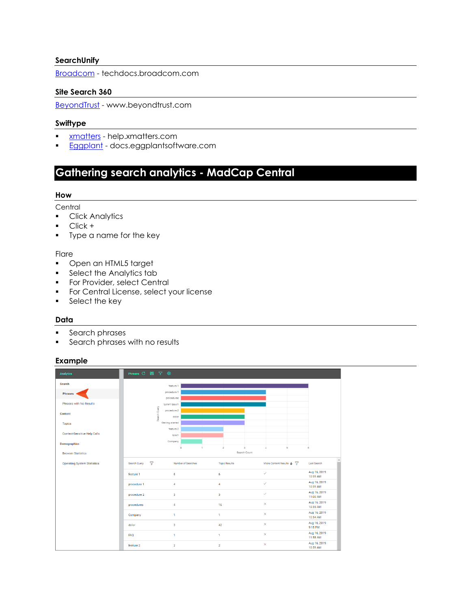# **SearchUnify**

Broadcom - techdocs.broadcom.com

# **Site Search 360**

BeyondTrust - www.beyondtrust.com

# **Swiftype**

- xmatters help.xmatters.com
- **Eggplant** docs.eggplantsoftware.com

# **Gathering search analytics - MadCap Central**

### **How**

### **Central**

- Click Analytics
- Click +
- Type a name for the key

### **Flare**

- Open an HTML5 target
- **•** Select the Analytics tab
- **•** For Provider, select Central
- **•** For Central License, select your license
- Select the key

# **Data**

- Search phrases
- **•** Search phrases with no results

# **Example**